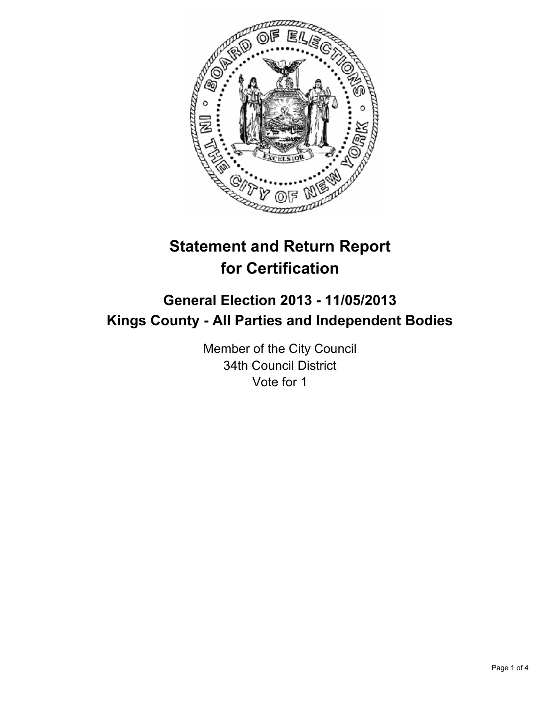

# **Statement and Return Report for Certification**

## **General Election 2013 - 11/05/2013 Kings County - All Parties and Independent Bodies**

Member of the City Council 34th Council District Vote for 1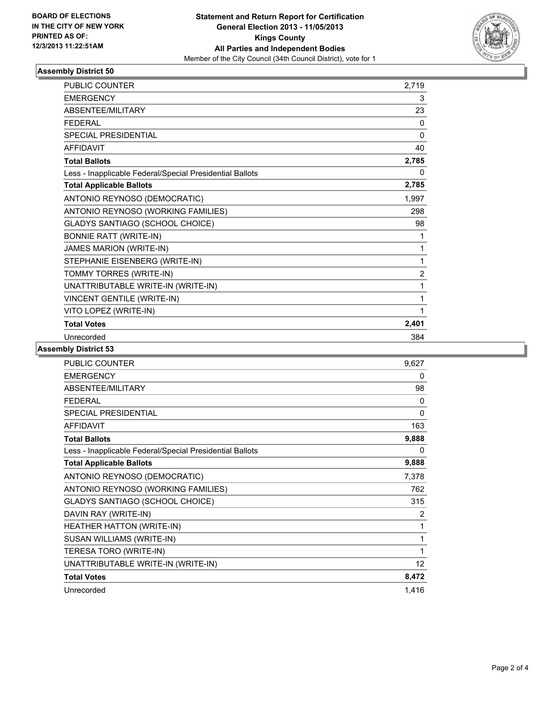

### **Assembly District 50**

| <b>PUBLIC COUNTER</b>                                    | 2,719          |
|----------------------------------------------------------|----------------|
| <b>EMERGENCY</b>                                         | 3              |
| ABSENTEE/MILITARY                                        | 23             |
| <b>FFDFRAI</b>                                           | 0              |
| <b>SPECIAL PRESIDENTIAL</b>                              | 0              |
| <b>AFFIDAVIT</b>                                         | 40             |
| <b>Total Ballots</b>                                     | 2,785          |
| Less - Inapplicable Federal/Special Presidential Ballots | 0              |
| <b>Total Applicable Ballots</b>                          | 2,785          |
| ANTONIO REYNOSO (DEMOCRATIC)                             | 1,997          |
| ANTONIO REYNOSO (WORKING FAMILIES)                       | 298            |
| <b>GLADYS SANTIAGO (SCHOOL CHOICE)</b>                   | 98             |
| <b>BONNIE RATT (WRITE-IN)</b>                            | 1              |
| JAMES MARION (WRITE-IN)                                  | 1              |
| STEPHANIE EISENBERG (WRITE-IN)                           | 1              |
| TOMMY TORRES (WRITE-IN)                                  | $\overline{2}$ |
| UNATTRIBUTABLE WRITE-IN (WRITE-IN)                       | 1              |
| <b>VINCENT GENTILE (WRITE-IN)</b>                        | 1              |
| VITO LOPEZ (WRITE-IN)                                    | 1              |
| <b>Total Votes</b>                                       | 2,401          |
| Unrecorded                                               | 384            |

### **Assembly District 53**

| <b>PUBLIC COUNTER</b>                                    | 9,627           |
|----------------------------------------------------------|-----------------|
| <b>EMERGENCY</b>                                         | 0               |
| ABSENTEE/MILITARY                                        | 98              |
| <b>FEDERAL</b>                                           | 0               |
| <b>SPECIAL PRESIDENTIAL</b>                              | 0               |
| <b>AFFIDAVIT</b>                                         | 163             |
| <b>Total Ballots</b>                                     | 9,888           |
| Less - Inapplicable Federal/Special Presidential Ballots | 0               |
| <b>Total Applicable Ballots</b>                          | 9,888           |
| ANTONIO REYNOSO (DEMOCRATIC)                             | 7,378           |
| ANTONIO REYNOSO (WORKING FAMILIES)                       | 762             |
| <b>GLADYS SANTIAGO (SCHOOL CHOICE)</b>                   | 315             |
| DAVIN RAY (WRITE-IN)                                     | 2               |
| HEATHER HATTON (WRITE-IN)                                | 1               |
| SUSAN WILLIAMS (WRITE-IN)                                | 1               |
| TERESA TORO (WRITE-IN)                                   | 1               |
| UNATTRIBUTABLE WRITE-IN (WRITE-IN)                       | 12 <sup>°</sup> |
| <b>Total Votes</b>                                       | 8,472           |
| Unrecorded                                               | 1,416           |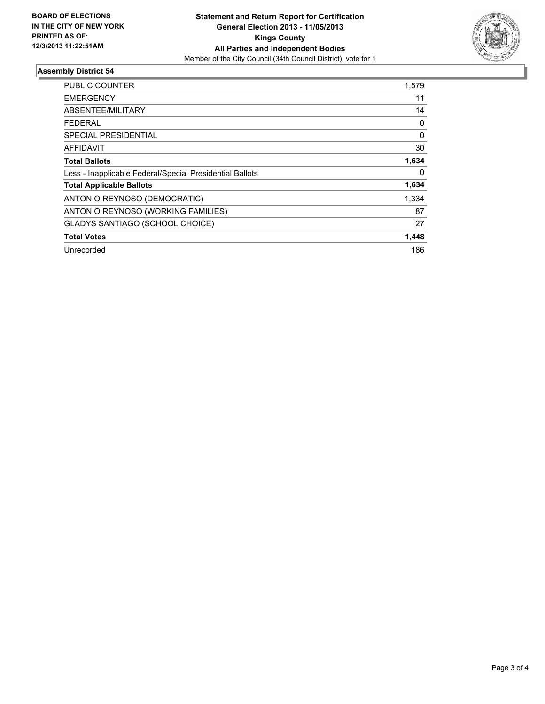

### **Assembly District 54**

| <b>PUBLIC COUNTER</b>                                    | 1,579        |
|----------------------------------------------------------|--------------|
| <b>EMERGENCY</b>                                         | 11           |
| ABSENTEE/MILITARY                                        | 14           |
| FEDERAL                                                  | 0            |
| SPECIAL PRESIDENTIAL                                     | $\mathbf{0}$ |
| AFFIDAVIT                                                | 30           |
| <b>Total Ballots</b>                                     | 1,634        |
| Less - Inapplicable Federal/Special Presidential Ballots | 0            |
| <b>Total Applicable Ballots</b>                          | 1,634        |
| ANTONIO REYNOSO (DEMOCRATIC)                             | 1,334        |
| ANTONIO REYNOSO (WORKING FAMILIES)                       | 87           |
| <b>GLADYS SANTIAGO (SCHOOL CHOICE)</b>                   | 27           |
| <b>Total Votes</b>                                       | 1,448        |
| Unrecorded                                               | 186          |